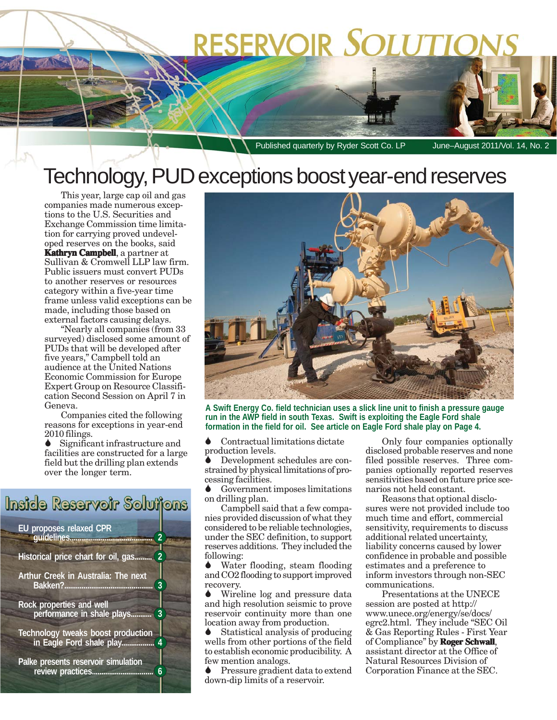# **RESERVOIR SOLUTIONS**

Published quarterly by Ryder Scott Co. LP June–August 2011/Vol. 14, No. 2

## Technology, PUD exceptions boost year-end reserves

This year, large cap oil and gas companies made numerous exceptions to the U.S. Securities and Exchange Commission time limitation for carrying proved undeveloped reserves on the books, said **Kathryn Campbell**, a partner at Sullivan & Cromwell LLP law firm. Public issuers must convert PUDs to another reserves or resources category within a five-year time frame unless valid exceptions can be made, including those based on external factors causing delays.

"Nearly all companies (from 33 surveyed) disclosed some amount of PUDs that will be developed after five years," Campbell told an audience at the United Nations Economic Commission for Europe Expert Group on Resource Classification Second Session on April 7 in Geneva.

Companies cited the following reasons for exceptions in year-end 2010 filings.

Significant infrastructure and facilities are constructed for a large field but the drilling plan extends over the longer term.

### Inside Reservoir Solutions

**EU proposes relaxed CPR guidelines........................................... 2**

**Historical price chart for oil, gas......... 2**

**Arthur Creek in Australia: The next Bakken?.............................................. 3**

**Rock properties and well performance in shale plays........... 3**

**Technology tweaks boost production in Eagle Ford shale play................. 4**

**Palke presents reservoir simulation review practices................................ 6**



**A Swift Energy Co. field technician uses a slick line unit to finish a pressure gauge run in the AWP field in south Texas. Swift is exploiting the Eagle Ford shale formation in the field for oil. See article on Eagle Ford shale play on Page 4.**

 Contractual limitations dictate production levels.

 Development schedules are constrained by physical limitations of processing facilities.

 Government imposes limitations on drilling plan.

Campbell said that a few companies provided discussion of what they considered to be reliable technologies, under the SEC definition, to support reserves additions. They included the following:

 Water flooding, steam flooding and CO2 flooding to support improved recovery.

 Wireline log and pressure data and high resolution seismic to prove reservoir continuity more than one location away from production.

 Statistical analysis of producing wells from other portions of the field to establish economic producibility. A few mention analogs.

 Pressure gradient data to extend down-dip limits of a reservoir.

Only four companies optionally disclosed probable reserves and none filed possible reserves. Three companies optionally reported reserves sensitivities based on future price scenarios not held constant.

Reasons that optional disclosures were not provided include too much time and effort, commercial sensitivity, requirements to discuss additional related uncertainty, liability concerns caused by lower confidence in probable and possible estimates and a preference to inform investors through non-SEC communications.

Presentations at the UNECE session are posted at http:// www.unece.org/energy/se/docs/ egrc2.html. They include "SEC Oil & Gas Reporting Rules - First Year of Compliance" by **Roger Schwall** , assistant director at the Office of Natural Resources Division of Corporation Finance at the SEC.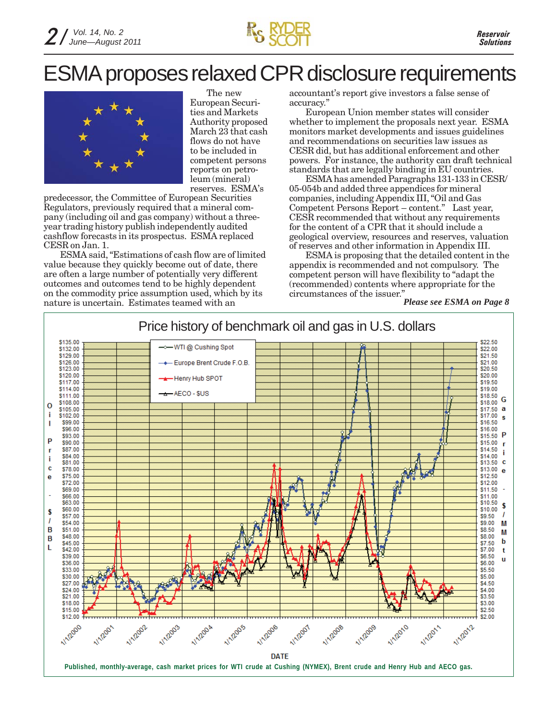

## ESMA proposes relaxed CPR disclosure requirements



The new European Securities and Markets Authority proposed March 23 that cash flows do not have to be included in competent persons reports on petroleum (mineral) reserves. ESMA's

predecessor, the Committee of European Securities Regulators, previously required that a mineral company (including oil and gas company) without a threeyear trading history publish independently audited cashflow forecasts in its prospectus. ESMA replaced CESR on Jan. 1.

ESMA said, "Estimations of cash flow are of limited value because they quickly become out of date, there are often a large number of potentially very different outcomes and outcomes tend to be highly dependent on the commodity price assumption used, which by its nature is uncertain. Estimates teamed with an

accountant's report give investors a false sense of accuracy."

European Union member states will consider whether to implement the proposals next year. ESMA monitors market developments and issues guidelines and recommendations on securities law issues as CESR did, but has additional enforcement and other powers. For instance, the authority can draft technical standards that are legally binding in EU countries.

ESMA has amended Paragraphs 131-133 in CESR/ 05-054b and added three appendices for mineral companies, including Appendix III, "Oil and Gas Competent Persons Report – content." Last year, CESR recommended that without any requirements for the content of a CPR that it should include a geological overview, resources and reserves, valuation of reserves and other information in Appendix III.

ESMA is proposing that the detailed content in the appendix is recommended and not compulsory. The competent person will have flexibility to "adapt the (recommended) contents where appropriate for the circumstances of the issuer."

*Please see ESMA on Page 8*

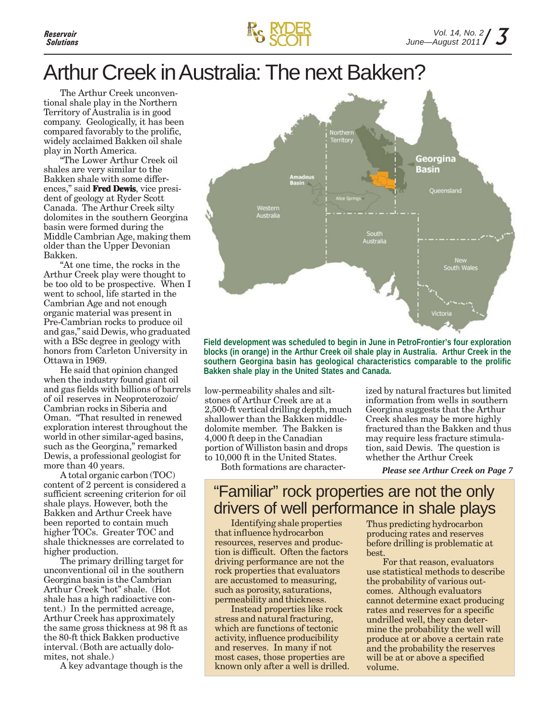

## Arthur Creek in Australia: The next Bakken?

The Arthur Creek unconventional shale play in the Northern Territory of Australia is in good company. Geologically, it has been compared favorably to the prolific, widely acclaimed Bakken oil shale play in North America.

"The Lower Arthur Creek oil shales are very similar to the Bakken shale with some differences," said **Fred Dewis**, vice president of geology at Ryder Scott Canada. The Arthur Creek silty dolomites in the southern Georgina basin were formed during the Middle Cambrian Age, making them older than the Upper Devonian Bakken.

"At one time, the rocks in the Arthur Creek play were thought to be too old to be prospective. When I went to school, life started in the Cambrian Age and not enough organic material was present in Pre-Cambrian rocks to produce oil and gas," said Dewis, who graduated with a BSc degree in geology with honors from Carleton University in Ottawa in 1969.

He said that opinion changed when the industry found giant oil and gas fields with billions of barrels of oil reserves in Neoproterozoic/ Cambrian rocks in Siberia and Oman. "That resulted in renewed exploration interest throughout the world in other similar-aged basins, such as the Georgina," remarked Dewis, a professional geologist for more than 40 years.

A total organic carbon (TOC) content of 2 percent is considered a sufficient screening criterion for oil shale plays. However, both the Bakken and Arthur Creek have been reported to contain much higher TOCs. Greater TOC and shale thicknesses are correlated to higher production.

The primary drilling target for unconventional oil in the southern Georgina basin is the Cambrian Arthur Creek "hot" shale. (Hot shale has a high radioactive content.) In the permitted acreage, Arthur Creek has approximately the same gross thickness at 98 ft as the 80-ft thick Bakken productive interval. (Both are actually dolomites, not shale.)

A key advantage though is the



**Field development was scheduled to begin in June in PetroFrontier's four exploration blocks (in orange) in the Arthur Creek oil shale play in Australia. Arthur Creek in the southern Georgina basin has geological characteristics comparable to the prolific Bakken shale play in the United States and Canada.**

low-permeability shales and siltstones of Arthur Creek are at a 2,500-ft vertical drilling depth, much shallower than the Bakken middledolomite member. The Bakken is 4,000 ft deep in the Canadian portion of Williston basin and drops to 10,000 ft in the United States.

Both formations are character-

ized by natural fractures but limited information from wells in southern Georgina suggests that the Arthur Creek shales may be more highly fractured than the Bakken and thus may require less fracture stimulation, said Dewis. The question is whether the Arthur Creek

*Please see Arthur Creek on Page 7*

### "Familiar" rock properties are not the only drivers of well performance in shale plays

Identifying shale properties that influence hydrocarbon resources, reserves and production is difficult. Often the factors driving performance are not the rock properties that evaluators are accustomed to measuring, such as porosity, saturations, permeability and thickness.

Instead properties like rock stress and natural fracturing, which are functions of tectonic activity, influence producibility and reserves. In many if not most cases, those properties are known only after a well is drilled. Thus predicting hydrocarbon producing rates and reserves before drilling is problematic at best.

For that reason, evaluators use statistical methods to describe the probability of various outcomes. Although evaluators cannot determine exact producing rates and reserves for a specific undrilled well, they can determine the probability the well will produce at or above a certain rate and the probability the reserves will be at or above a specified volume.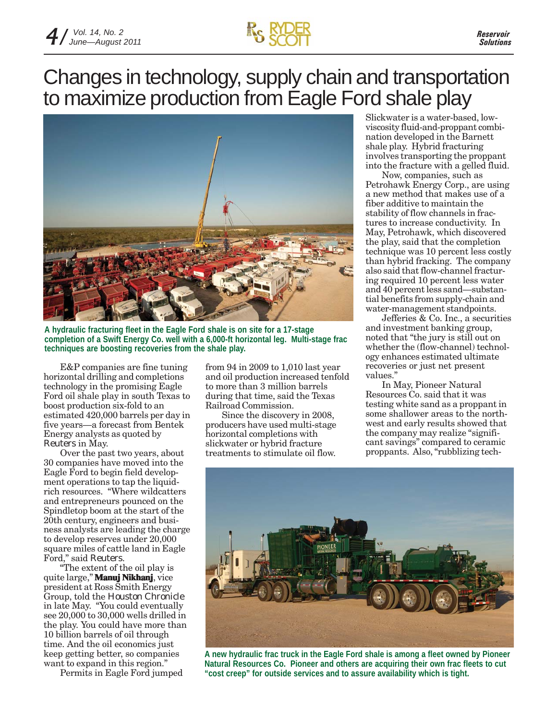

## Changes in technology, supply chain and transportation to maximize production from Eagle Ford shale play



**A hydraulic fracturing fleet in the Eagle Ford shale is on site for a 17-stage completion of a Swift Energy Co. well with a 6,000-ft horizontal leg. Multi-stage frac techniques are boosting recoveries from the shale play.**

E&P companies are fine tuning horizontal drilling and completions technology in the promising Eagle Ford oil shale play in south Texas to boost production six-fold to an estimated 420,000 barrels per day in five years—a forecast from Bentek Energy analysts as quoted by *Reuters* in May.

Over the past two years, about 30 companies have moved into the Eagle Ford to begin field development operations to tap the liquidrich resources. "Where wildcatters and entrepreneurs pounced on the Spindletop boom at the start of the 20th century, engineers and business analysts are leading the charge to develop reserves under 20,000 square miles of cattle land in Eagle Ford," said *Reuters*.

"The extent of the oil play is quite large," **Manuj Nikhanj Nikhanj**, vice president at Ross Smith Energy Group, told the *Houston Chronicle* in late May. "You could eventually see 20,000 to 30,000 wells drilled in the play. You could have more than 10 billion barrels of oil through time. And the oil economics just keep getting better, so companies want to expand in this region."

Permits in Eagle Ford jumped

from 94 in 2009 to 1,010 last year and oil production increased tenfold to more than 3 million barrels during that time, said the Texas Railroad Commission.

Since the discovery in 2008, producers have used multi-stage horizontal completions with slickwater or hybrid fracture treatments to stimulate oil flow.

Slickwater is a water-based, lowviscosity fluid-and-proppant combination developed in the Barnett shale play. Hybrid fracturing involves transporting the proppant into the fracture with a gelled fluid.

Now, companies, such as Petrohawk Energy Corp., are using a new method that makes use of a fiber additive to maintain the stability of flow channels in fractures to increase conductivity. In May, Petrohawk, which discovered the play, said that the completion technique was 10 percent less costly than hybrid fracking. The company also said that flow-channel fracturing required 10 percent less water and 40 percent less sand—substantial benefits from supply-chain and water-management standpoints.

Jefferies & Co. Inc., a securities and investment banking group, noted that "the jury is still out on whether the (flow-channel) technology enhances estimated ultimate recoveries or just net present values."

In May, Pioneer Natural Resources Co. said that it was testing white sand as a proppant in some shallower areas to the northwest and early results showed that the company may realize "significant savings" compared to ceramic proppants. Also, "rubblizing tech-



**A new hydraulic frac truck in the Eagle Ford shale is among a fleet owned by Pioneer Natural Resources Co. Pioneer and others are acquiring their own frac fleets to cut "cost creep" for outside services and to assure availability which is tight.**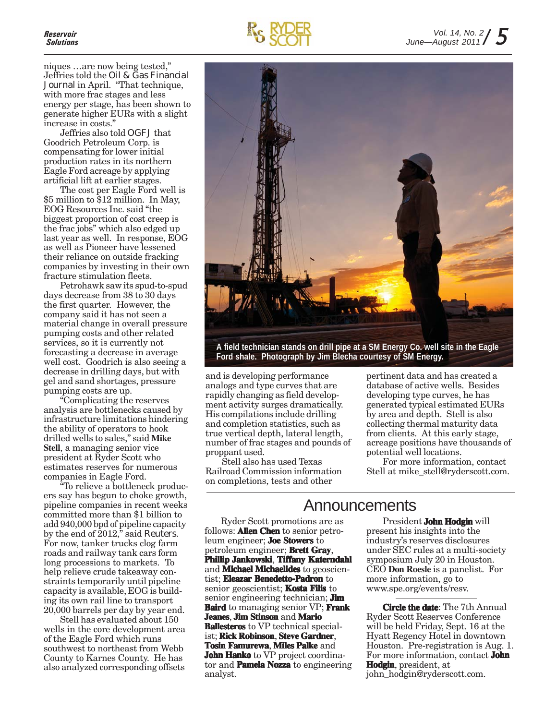niques …are now being tested," Jeffries told the *Oil & Gas Financial Journal* in April. "That technique, with more frac stages and less energy per stage, has been shown to generate higher EURs with a slight increase in costs."

Jeffries also told *OGFJ* that Goodrich Petroleum Corp. is compensating for lower initial production rates in its northern Eagle Ford acreage by applying artificial lift at earlier stages.

The cost per Eagle Ford well is \$5 million to \$12 million. In May, EOG Resources Inc. said "the biggest proportion of cost creep is the frac jobs" which also edged up last year as well. In response, EOG as well as Pioneer have lessened their reliance on outside fracking companies by investing in their own fracture stimulation fleets.

Petrohawk saw its spud-to-spud days decrease from 38 to 30 days the first quarter. However, the company said it has not seen a material change in overall pressure pumping costs and other related services, so it is currently not forecasting a decrease in average well cost. Goodrich is also seeing a decrease in drilling days, but with gel and sand shortages, pressure pumping costs are up.

"Complicating the reserves analysis are bottlenecks caused by infrastructure limitations hindering the ability of operators to hook drilled wells to sales," said **Mike Stell**, a managing senior vice president at Ryder Scott who estimates reserves for numerous companies in Eagle Ford.

"To relieve a bottleneck producers say has begun to choke growth, pipeline companies in recent weeks committed more than \$1 billion to add 940,000 bpd of pipeline capacity by the end of 2012," said *Reuters*. For now, tanker trucks clog farm roads and railway tank cars form long processions to markets. To help relieve crude takeaway constraints temporarily until pipeline capacity is available, EOG is building its own rail line to transport 20,000 barrels per day by year end.

Stell has evaluated about 150 wells in the core development area of the Eagle Ford which runs southwest to northeast from Webb County to Karnes County. He has also analyzed corresponding offsets





**A field technician stands on drill pipe at a SM Energy Co. well site in the Eagle Ford shale. Photograph by Jim Blecha courtesy of SM Energy.**

and is developing performance analogs and type curves that are rapidly changing as field development activity surges dramatically. His compilations include drilling and completion statistics, such as true vertical depth, lateral length, number of frac stages and pounds of proppant used.

Stell also has used Texas Railroad Commission information on completions, tests and other

pertinent data and has created a database of active wells. Besides developing type curves, he has generated typical estimated EURs by area and depth. Stell is also collecting thermal maturity data from clients. At this early stage, acreage positions have thousands of potential well locations.

For more information, contact Stell at mike\_stell@ryderscott.com.

### Announcements

Ryder Scott promotions are as follows: **Allen Chen** to senior petroleum engineer; **Joe Stowers** to petroleum engineer; **Brett Gray**, **Phillip Jankowski Jankowski**, **Tiffany Katerndahl** and **Michael Michaelides** to geoscientist; **Eleazar Benedetto-Padron** to senior geoscientist; **Kosta Filis** to senior engineering technician; **Jim Baird** to managing senior VP; **Frank Jeanes**, **Jim Stinson** and **Mario Ballesteros** to VP technical specialist; **Rick Robinson**, **Steve Gardner**, **Tosin Famurewa**, **Miles Palke** and **John Hanko** to VP project coordinator and **Pamela Nozza** to engineering analyst.

President **John Hodgin** will present his insights into the industry's reserves disclosures under SEC rules at a multi-society symposium July 20 in Houston. CEO **Don Roesle** is a panelist. For more information, go to www.spe.org/events/resv.

**Circle the date**: The 7th Annual Ryder Scott Reserves Conference will be held Friday, Sept. 16 at the Hyatt Regency Hotel in downtown Houston. Pre-registration is Aug. 1. For more information, contact **John Hodgin**, president, at john\_hodgin@ryderscott.com.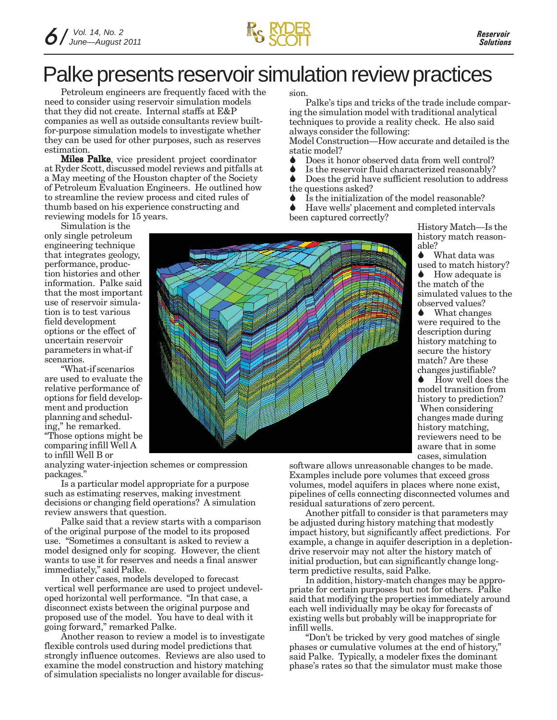

## Palke presents reservoir simulation review practices

Petroleum engineers are frequently faced with the need to consider using reservoir simulation models that they did not create. Internal staffs at E&P companies as well as outside consultants review builtfor-purpose simulation models to investigate whether they can be used for other purposes, such as reserves estimation.

Miles Palke, vice president project coordinator at Ryder Scott, discussed model reviews and pitfalls at a May meeting of the Houston chapter of the Society of Petroleum Evaluation Engineers. He outlined how to streamline the review process and cited rules of thumb based on his experience constructing and reviewing models for 15 years.

Simulation is the only single petroleum engineering technique that integrates geology, performance, production histories and other information. Palke said that the most important use of reservoir simulation is to test various field development options or the effect of uncertain reservoir parameters in what-if scenarios.

"What-if scenarios are used to evaluate the relative performance of options for field development and production planning and scheduling," he remarked. "Those options might be comparing infill Well A

to infill Well B or analyzing water-injection schemes or compression packages."

Is a particular model appropriate for a purpose such as estimating reserves, making investment decisions or changing field operations? A simulation review answers that question.

Palke said that a review starts with a comparison of the original purpose of the model to its proposed use. "Sometimes a consultant is asked to review a model designed only for scoping. However, the client wants to use it for reserves and needs a final answer immediately," said Palke.

In other cases, models developed to forecast vertical well performance are used to project undeveloped horizontal well performance. "In that case, a disconnect exists between the original purpose and proposed use of the model. You have to deal with it going forward," remarked Palke.

Another reason to review a model is to investigate flexible controls used during model predictions that strongly influence outcomes. Reviews are also used to examine the model construction and history matching of simulation specialists no longer available for discussion.

Palke's tips and tricks of the trade include comparing the simulation model with traditional analytical techniques to provide a reality check. He also said always consider the following:

Model Construction—How accurate and detailed is the static model?

- ◆ Does it honor observed data from well control?
- Is the reservoir fluid characterized reasonably?<br>  $\bigcap_{\alpha}$  Does the grid have sufficient resolution to address
- Does the grid have sufficient resolution to address the questions asked?
- $\bullet$  Is the initialization of the model reasonable?

 Have wells' placement and completed intervals been captured correctly?

History Match—Is the history match reasonable?

What data was used to match history? How adequate is the match of the simulated values to the observed values?

**◆** What changes were required to the description during history matching to secure the history match? Are these changes justifiable?

How well does the model transition from history to prediction? When considering changes made during history matching, reviewers need to be aware that in some cases, simulation

software allows unreasonable changes to be made. Examples include pore volumes that exceed gross volumes, model aquifers in places where none exist, pipelines of cells connecting disconnected volumes and residual saturations of zero percent.

Another pitfall to consider is that parameters may be adjusted during history matching that modestly impact history, but significantly affect predictions. For example, a change in aquifer description in a depletiondrive reservoir may not alter the history match of initial production, but can significantly change longterm predictive results, said Palke.

In addition, history-match changes may be appropriate for certain purposes but not for others. Palke said that modifying the properties immediately around each well individually may be okay for forecasts of existing wells but probably will be inappropriate for infill wells.

"Don't be tricked by very good matches of single phases or cumulative volumes at the end of history, said Palke. Typically, a modeler fixes the dominant phase's rates so that the simulator must make those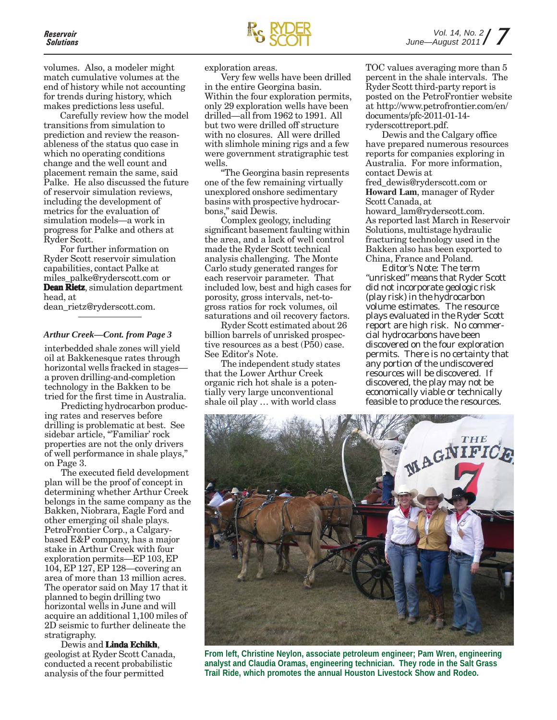volumes. Also, a modeler might match cumulative volumes at the end of history while not accounting for trends during history, which makes predictions less useful.

Carefully review how the model transitions from simulation to prediction and review the reasonableness of the status quo case in which no operating conditions change and the well count and placement remain the same, said Palke. He also discussed the future of reservoir simulation reviews, including the development of metrics for the evaluation of simulation models—a work in progress for Palke and others at Ryder Scott.

For further information on Ryder Scott reservoir simulation capabilities, contact Palke at miles\_palke@ryderscott.com or **Dean Rietz**, simulation department head, at

dean\_rietz@ryderscott.com.

#### *Arthur Creek—Cont. from Page 3*

interbedded shale zones will yield oil at Bakkenesque rates through horizontal wells fracked in stages a proven drilling-and-completion technology in the Bakken to be tried for the first time in Australia.

Predicting hydrocarbon producing rates and reserves before drilling is problematic at best. See sidebar article, "Familiar' rock properties are not the only drivers of well performance in shale plays," on Page 3.

The executed field development plan will be the proof of concept in determining whether Arthur Creek belongs in the same company as the Bakken, Niobrara, Eagle Ford and other emerging oil shale plays. PetroFrontier Corp., a Calgarybased E&P company, has a major stake in Arthur Creek with four exploration permits—EP 103, EP 104, EP 127, EP 128—covering an area of more than 13 million acres. The operator said on May 17 that it planned to begin drilling two horizontal wells in June and will acquire an additional 1,100 miles of 2D seismic to further delineate the stratigraphy.

Dewis and **Linda Echikh**, geologist at Ryder Scott Canada, conducted a recent probabilistic analysis of the four permitted

exploration areas.

Very few wells have been drilled in the entire Georgina basin. Within the four exploration permits, only 29 exploration wells have been drilled—all from 1962 to 1991. All but two were drilled off structure with no closures. All were drilled with slimhole mining rigs and a few were government stratigraphic test wells.

"The Georgina basin represents one of the few remaining virtually unexplored onshore sedimentary basins with prospective hydrocarbons," said Dewis.

Complex geology, including significant basement faulting within the area, and a lack of well control made the Ryder Scott technical analysis challenging. The Monte Carlo study generated ranges for each reservoir parameter. That included low, best and high cases for porosity, gross intervals, net-togross ratios for rock volumes, oil saturations and oil recovery factors.

Ryder Scott estimated about 26 billion barrels of unrisked prospective resources as a best (P50) case. See Editor's Note.

The independent study states that the Lower Arthur Creek organic rich hot shale is a potentially very large unconventional shale oil play … with world class

TOC values averaging more than 5 percent in the shale intervals. The Ryder Scott third-party report is posted on the PetroFrontier website at http://www.petrofrontier.com/en/ documents/pfc-2011-01-14 ryderscottreport.pdf.

Dewis and the Calgary office have prepared numerous resources reports for companies exploring in Australia. For more information, contact Dewis at fred\_dewis@ryderscott.com or **Howard Lam**, manager of Ryder Scott Canada, at howard\_lam@ryderscott.com. As reported last March in Reservoir Solutions, multistage hydraulic fracturing technology used in the Bakken also has been exported to China, France and Poland.

*Editor's Note: The term "unrisked" means that Ryder Scott did not incorporate geologic risk (play risk) in the hydrocarbon volume estimates. The resource plays evaluated in the Ryder Scott report are high risk. No commercial hydrocarbons have been discovered on the four exploration permits. There is no certainty that any portion of the undiscovered resources will be discovered. If discovered, the play may not be economically viable or technically feasible to produce the resources.*



**From left, Christine Neylon, associate petroleum engineer; Pam Wren, engineering analyst and Claudia Oramas, engineering technician. They rode in the Salt Grass Trail Ride, which promotes the annual Houston Livestock Show and Rodeo.**